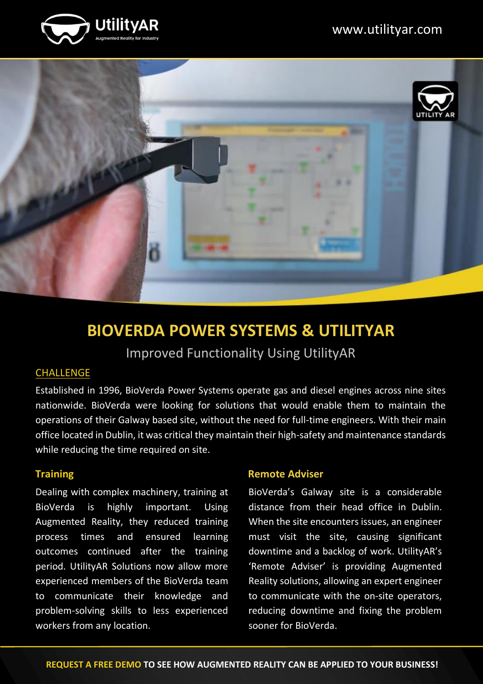



## **BIOVERDA POWER SYSTEMS & UTILITYAR** Improved Functionality Using UtilityAR

### **CHALLENGE**

Established in 1996, BioVerda Power Systems operate gas and diesel engines across nine sites nationwide. BioVerda were looking for solutions that would enable them to maintain the operations of their Galway based site, without the need for full-time engineers. With their main office located in Dublin, it was critical they maintain their high-safety and maintenance standards while reducing the time required on site.

### **Training**

Dealing with complex machinery, training at BioVerda is highly important. Using Augmented Reality, they reduced training process times and ensured learning outcomes continued after the training period. UtilityAR Solutions now allow more experienced members of the BioVerda team to communicate their knowledge and problem-solving skills to less experienced workers from any location.

### **Remote Adviser**

BioVerda's Galway site is a considerable distance from their head office in Dublin. When the site encounters issues, an engineer must visit the site, causing significant downtime and a backlog of work. UtilityAR's 'Remote Adviser' is providing Augmented Reality solutions, allowing an expert engineer to communicate with the on-site operators, reducing downtime and fixing the problem sooner for BioVerda.